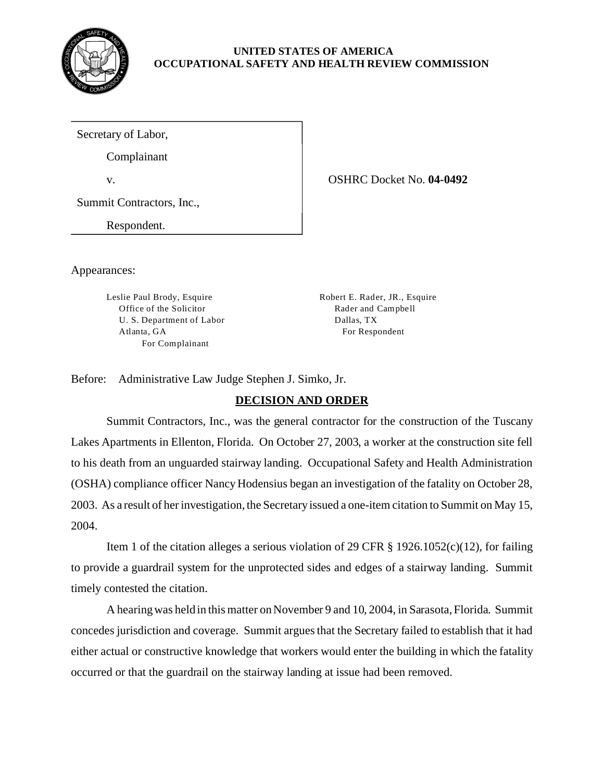

### **UNITED STATES OF AMERICA OCCUPATIONAL SAFETY AND HEALTH REVIEW COMMISSION**

Secretary of Labor,

Complainant

v. OSHRC Docket No. **04-0492** 

Summit Contractors, Inc.,

Respondent.

Appearances:

Leslie Paul Brody, Esquire Robert E. Rader, JR., Esquire Office of the Solicitor Rader and Campbell U. S. Department of Labor Dallas, TX Atlanta, GA For Respondent For Complainant

Before: Administrative Law Judge Stephen J. Simko, Jr.

# **DECISION AND ORDER**

Summit Contractors, Inc., was the general contractor for the construction of the Tuscany Lakes Apartments in Ellenton, Florida. On October 27, 2003, a worker at the construction site fell to his death from an unguarded stairway landing. Occupational Safety and Health Administration (OSHA) compliance officer Nancy Hodensius began an investigation of the fatality on October 28, 2003. As a result of her investigation, the Secretary issued a one-item citation to Summit on May 15, 2004.

Item 1 of the citation alleges a serious violation of 29 CFR § 1926.1052(c)(12), for failing to provide a guardrail system for the unprotected sides and edges of a stairway landing. Summit timely contested the citation.

A hearing was held in this matter on November 9 and 10, 2004, in Sarasota, Florida. Summit concedes jurisdiction and coverage. Summit argues that the Secretary failed to establish that it had either actual or constructive knowledge that workers would enter the building in which the fatality occurred or that the guardrail on the stairway landing at issue had been removed.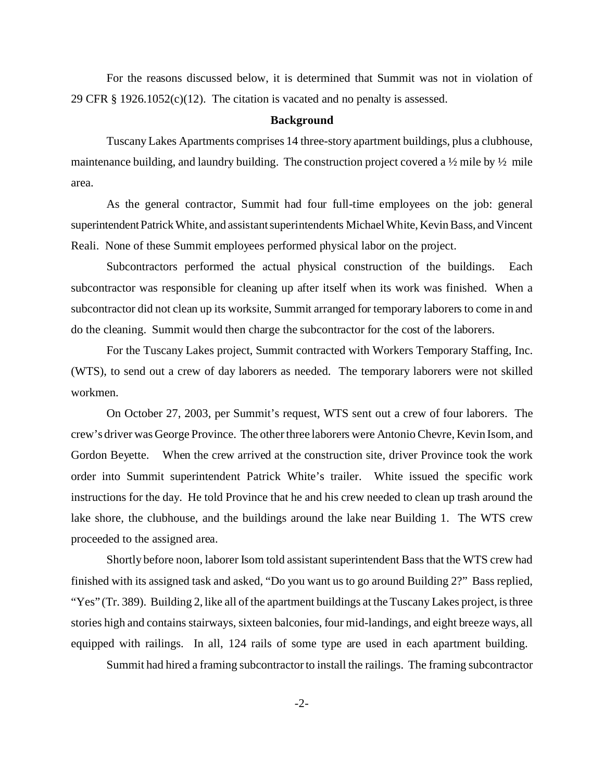For the reasons discussed below, it is determined that Summit was not in violation of 29 CFR  $\S$  1926.1052(c)(12). The citation is vacated and no penalty is assessed.

#### **Background**

Tuscany Lakes Apartments comprises 14 three-story apartment buildings, plus a clubhouse, maintenance building, and laundry building. The construction project covered a 1/2 mile by 1/2 mile area.

As the general contractor, Summit had four full-time employees on the job: general superintendent Patrick White, and assistant superintendents Michael White, Kevin Bass, and Vincent Reali. None of these Summit employees performed physical labor on the project.

Subcontractors performed the actual physical construction of the buildings. Each subcontractor was responsible for cleaning up after itself when its work was finished. When a subcontractor did not clean up its worksite, Summit arranged for temporary laborers to come in and do the cleaning. Summit would then charge the subcontractor for the cost of the laborers.

For the Tuscany Lakes project, Summit contracted with Workers Temporary Staffing, Inc. (WTS), to send out a crew of day laborers as needed. The temporary laborers were not skilled workmen.

On October 27, 2003, per Summit's request, WTS sent out a crew of four laborers. The crew's driver was George Province. The other three laborers were Antonio Chevre, Kevin Isom, and Gordon Beyette. When the crew arrived at the construction site, driver Province took the work order into Summit superintendent Patrick White's trailer. White issued the specific work instructions for the day. He told Province that he and his crew needed to clean up trash around the lake shore, the clubhouse, and the buildings around the lake near Building 1. The WTS crew proceeded to the assigned area.

Shortly before noon, laborer Isom told assistant superintendent Bass that the WTS crew had finished with its assigned task and asked, "Do you want us to go around Building 2?" Bass replied, "Yes" (Tr. 389). Building 2, like all of the apartment buildings at the Tuscany Lakes project, is three stories high and contains stairways, sixteen balconies, four mid-landings, and eight breeze ways, all equipped with railings. In all, 124 rails of some type are used in each apartment building.

Summit had hired a framing subcontractor to install the railings. The framing subcontractor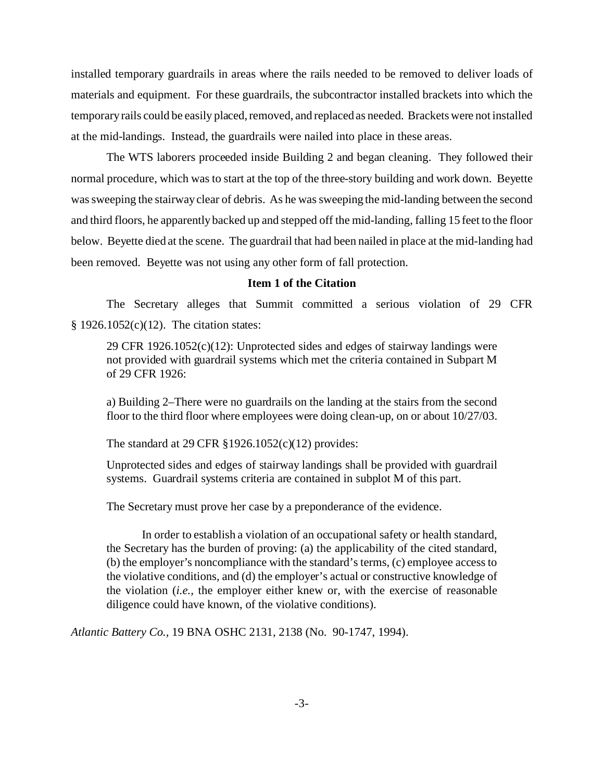installed temporary guardrails in areas where the rails needed to be removed to deliver loads of materials and equipment. For these guardrails, the subcontractor installed brackets into which the temporary rails could be easily placed, removed, and replaced as needed. Brackets were not installed at the mid-landings. Instead, the guardrails were nailed into place in these areas.

The WTS laborers proceeded inside Building 2 and began cleaning. They followed their normal procedure, which was to start at the top of the three-story building and work down. Beyette was sweeping the stairway clear of debris. As he was sweeping the mid-landing between the second and third floors, he apparently backed up and stepped off the mid-landing, falling 15 feet to the floor below. Beyette died at the scene. The guardrail that had been nailed in place at the mid-landing had been removed. Beyette was not using any other form of fall protection.

## **Item 1 of the Citation**

The Secretary alleges that Summit committed a serious violation of 29 CFR § 1926.1052(c)(12). The citation states:

29 CFR 1926.1052(c)(12): Unprotected sides and edges of stairway landings were not provided with guardrail systems which met the criteria contained in Subpart M of 29 CFR 1926:

a) Building 2–There were no guardrails on the landing at the stairs from the second floor to the third floor where employees were doing clean-up, on or about 10/27/03.

The standard at 29 CFR §1926.1052(c)(12) provides:

Unprotected sides and edges of stairway landings shall be provided with guardrail systems. Guardrail systems criteria are contained in subplot M of this part.

The Secretary must prove her case by a preponderance of the evidence.

In order to establish a violation of an occupational safety or health standard, the Secretary has the burden of proving: (a) the applicability of the cited standard, (b) the employer's noncompliance with the standard's terms, (c) employee access to the violative conditions, and (d) the employer's actual or constructive knowledge of the violation (*i.e.,* the employer either knew or, with the exercise of reasonable diligence could have known, of the violative conditions).

*Atlantic Battery Co.,* 19 BNA OSHC 2131, 2138 (No. 90-1747, 1994).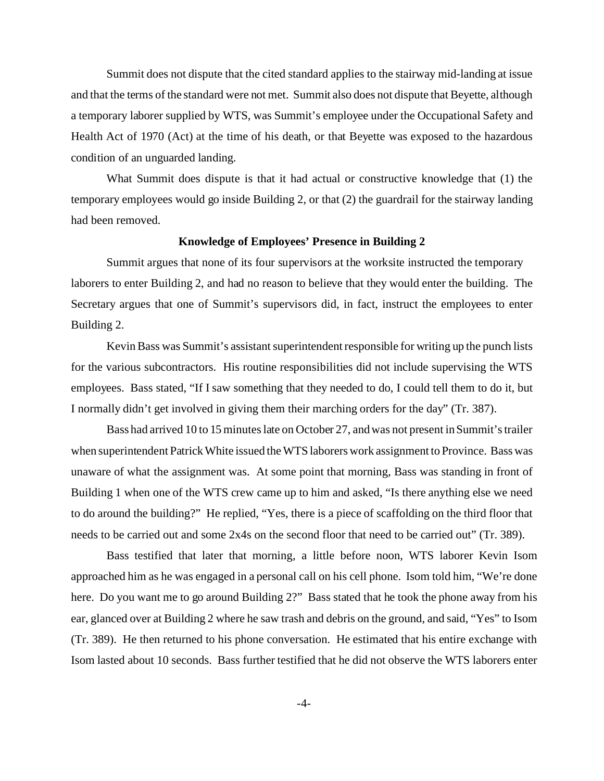Summit does not dispute that the cited standard applies to the stairway mid-landing at issue and that the terms of the standard were not met. Summit also does not dispute that Beyette, although a temporary laborer supplied by WTS, was Summit's employee under the Occupational Safety and Health Act of 1970 (Act) at the time of his death, or that Beyette was exposed to the hazardous condition of an unguarded landing.

What Summit does dispute is that it had actual or constructive knowledge that (1) the temporary employees would go inside Building 2, or that (2) the guardrail for the stairway landing had been removed.

#### **Knowledge of Employees' Presence in Building 2**

Summit argues that none of its four supervisors at the worksite instructed the temporary laborers to enter Building 2, and had no reason to believe that they would enter the building. The Secretary argues that one of Summit's supervisors did, in fact, instruct the employees to enter Building 2.

Kevin Bass was Summit's assistant superintendent responsible for writing up the punch lists for the various subcontractors. His routine responsibilities did not include supervising the WTS employees. Bass stated, "If I saw something that they needed to do, I could tell them to do it, but I normally didn't get involved in giving them their marching orders for the day" (Tr. 387).

Bass had arrived 10 to 15 minutes late on October 27, and was not present in Summit's trailer when superintendent Patrick White issued the WTS laborers work assignment to Province. Bass was unaware of what the assignment was. At some point that morning, Bass was standing in front of Building 1 when one of the WTS crew came up to him and asked, "Is there anything else we need to do around the building?" He replied, "Yes, there is a piece of scaffolding on the third floor that needs to be carried out and some 2x4s on the second floor that need to be carried out" (Tr. 389).

Bass testified that later that morning, a little before noon, WTS laborer Kevin Isom approached him as he was engaged in a personal call on his cell phone. Isom told him, "We're done here. Do you want me to go around Building 2?" Bass stated that he took the phone away from his ear, glanced over at Building 2 where he saw trash and debris on the ground, and said, "Yes" to Isom (Tr. 389). He then returned to his phone conversation. He estimated that his entire exchange with Isom lasted about 10 seconds. Bass further testified that he did not observe the WTS laborers enter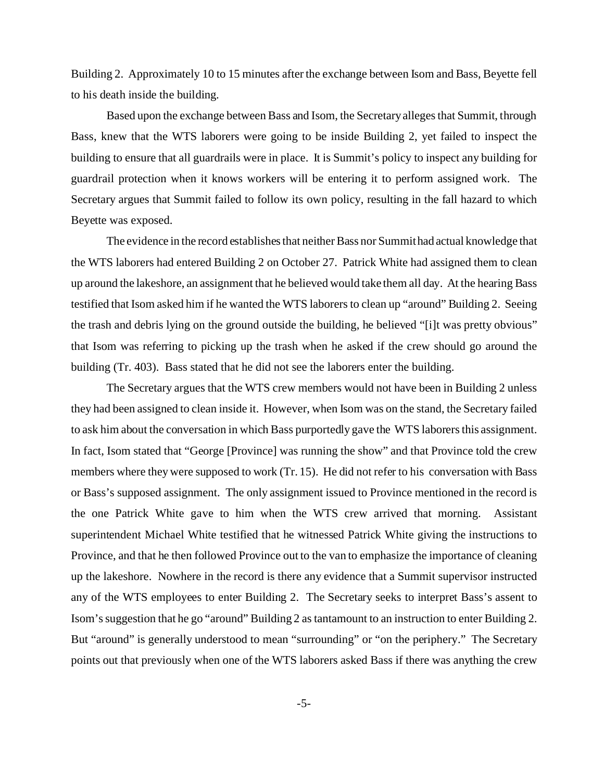Building 2. Approximately 10 to 15 minutes after the exchange between Isom and Bass, Beyette fell to his death inside the building.

Based upon the exchange between Bass and Isom, the Secretary alleges that Summit, through Bass, knew that the WTS laborers were going to be inside Building 2, yet failed to inspect the building to ensure that all guardrails were in place. It is Summit's policy to inspect any building for guardrail protection when it knows workers will be entering it to perform assigned work. The Secretary argues that Summit failed to follow its own policy, resulting in the fall hazard to which Beyette was exposed.

The evidence in the record establishes that neither Bass nor Summit had actual knowledge that the WTS laborers had entered Building 2 on October 27. Patrick White had assigned them to clean up around the lakeshore, an assignment that he believed would take them all day. At the hearing Bass testified that Isom asked him if he wanted the WTS laborers to clean up "around" Building 2. Seeing the trash and debris lying on the ground outside the building, he believed "[i]t was pretty obvious" that Isom was referring to picking up the trash when he asked if the crew should go around the building (Tr. 403). Bass stated that he did not see the laborers enter the building.

The Secretary argues that the WTS crew members would not have been in Building 2 unless they had been assigned to clean inside it. However, when Isom was on the stand, the Secretary failed to ask him about the conversation in which Bass purportedly gave the WTS laborers this assignment. In fact, Isom stated that "George [Province] was running the show" and that Province told the crew members where they were supposed to work (Tr. 15). He did not refer to his conversation with Bass or Bass's supposed assignment. The only assignment issued to Province mentioned in the record is the one Patrick White gave to him when the WTS crew arrived that morning. Assistant superintendent Michael White testified that he witnessed Patrick White giving the instructions to Province, and that he then followed Province out to the van to emphasize the importance of cleaning up the lakeshore. Nowhere in the record is there any evidence that a Summit supervisor instructed any of the WTS employees to enter Building 2. The Secretary seeks to interpret Bass's assent to Isom's suggestion that he go "around" Building 2 as tantamount to an instruction to enter Building 2. But "around" is generally understood to mean "surrounding" or "on the periphery." The Secretary points out that previously when one of the WTS laborers asked Bass if there was anything the crew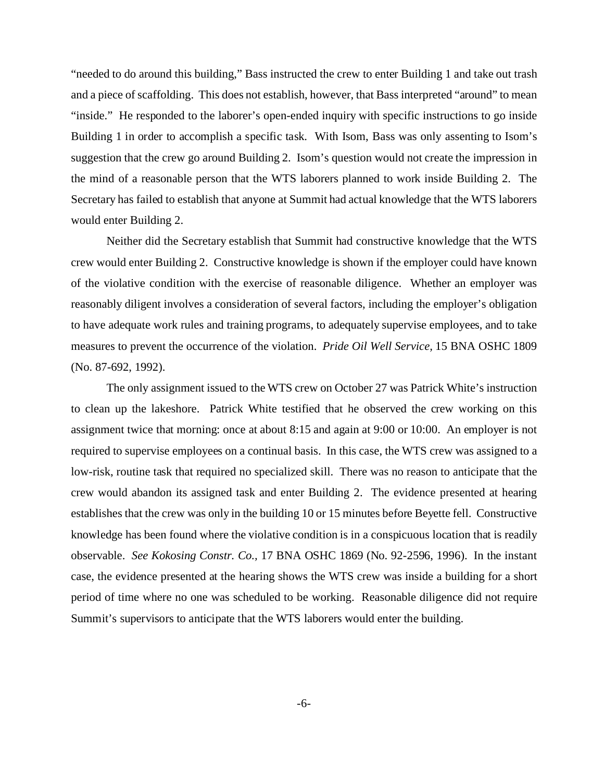"needed to do around this building," Bass instructed the crew to enter Building 1 and take out trash and a piece of scaffolding. This does not establish, however, that Bass interpreted "around" to mean "inside." He responded to the laborer's open-ended inquiry with specific instructions to go inside Building 1 in order to accomplish a specific task. With Isom, Bass was only assenting to Isom's suggestion that the crew go around Building 2. Isom's question would not create the impression in the mind of a reasonable person that the WTS laborers planned to work inside Building 2. The Secretary has failed to establish that anyone at Summit had actual knowledge that the WTS laborers would enter Building 2.

Neither did the Secretary establish that Summit had constructive knowledge that the WTS crew would enter Building 2. Constructive knowledge is shown if the employer could have known of the violative condition with the exercise of reasonable diligence. Whether an employer was reasonably diligent involves a consideration of several factors, including the employer's obligation to have adequate work rules and training programs, to adequately supervise employees, and to take measures to prevent the occurrence of the violation. *Pride Oil Well Service,* 15 BNA OSHC 1809 (No. 87-692, 1992).

The only assignment issued to the WTS crew on October 27 was Patrick White's instruction to clean up the lakeshore. Patrick White testified that he observed the crew working on this assignment twice that morning: once at about 8:15 and again at 9:00 or 10:00. An employer is not required to supervise employees on a continual basis. In this case, the WTS crew was assigned to a low-risk, routine task that required no specialized skill. There was no reason to anticipate that the crew would abandon its assigned task and enter Building 2. The evidence presented at hearing establishes that the crew was only in the building 10 or 15 minutes before Beyette fell. Constructive knowledge has been found where the violative condition is in a conspicuous location that is readily observable. *See Kokosing Constr. Co.,* 17 BNA OSHC 1869 (No. 92-2596, 1996). In the instant case, the evidence presented at the hearing shows the WTS crew was inside a building for a short period of time where no one was scheduled to be working. Reasonable diligence did not require Summit's supervisors to anticipate that the WTS laborers would enter the building.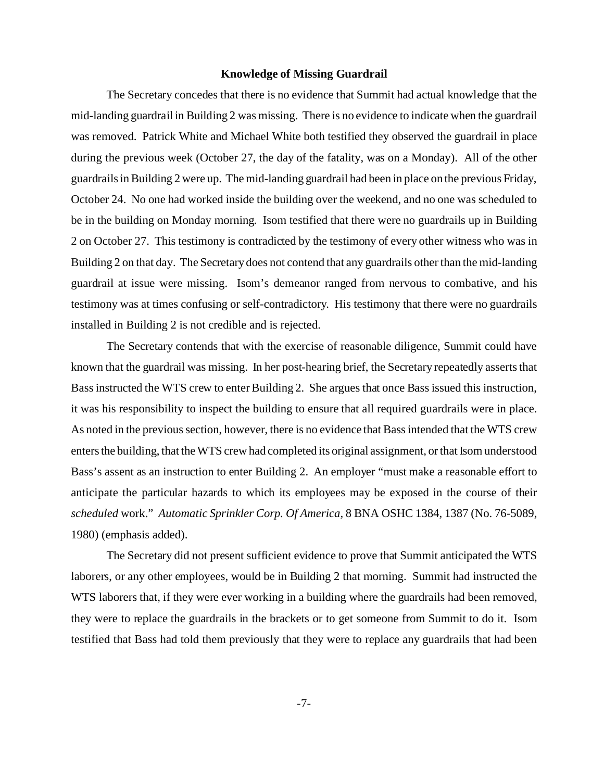#### **Knowledge of Missing Guardrail**

The Secretary concedes that there is no evidence that Summit had actual knowledge that the mid-landing guardrail in Building 2 was missing. There is no evidence to indicate when the guardrail was removed. Patrick White and Michael White both testified they observed the guardrail in place during the previous week (October 27, the day of the fatality, was on a Monday). All of the other guardrails in Building 2 were up. The mid-landing guardrail had been in place on the previous Friday, October 24. No one had worked inside the building over the weekend, and no one was scheduled to be in the building on Monday morning. Isom testified that there were no guardrails up in Building 2 on October 27. This testimony is contradicted by the testimony of every other witness who was in Building 2 on that day. The Secretary does not contend that any guardrails other than the mid-landing guardrail at issue were missing. Isom's demeanor ranged from nervous to combative, and his testimony was at times confusing or self-contradictory. His testimony that there were no guardrails installed in Building 2 is not credible and is rejected.

The Secretary contends that with the exercise of reasonable diligence, Summit could have known that the guardrail was missing. In her post-hearing brief, the Secretary repeatedly asserts that Bass instructed the WTS crew to enter Building 2. She argues that once Bass issued this instruction, it was his responsibility to inspect the building to ensure that all required guardrails were in place. As noted in the previous section, however, there is no evidence that Bass intended that the WTS crew enters the building, that the WTS crew had completed its original assignment, or that Isom understood Bass's assent as an instruction to enter Building 2. An employer "must make a reasonable effort to anticipate the particular hazards to which its employees may be exposed in the course of their *scheduled* work." *Automatic Sprinkler Corp. Of America,* 8 BNA OSHC 1384, 1387 (No. 76-5089, 1980) (emphasis added).

The Secretary did not present sufficient evidence to prove that Summit anticipated the WTS laborers, or any other employees, would be in Building 2 that morning. Summit had instructed the WTS laborers that, if they were ever working in a building where the guardrails had been removed, they were to replace the guardrails in the brackets or to get someone from Summit to do it. Isom testified that Bass had told them previously that they were to replace any guardrails that had been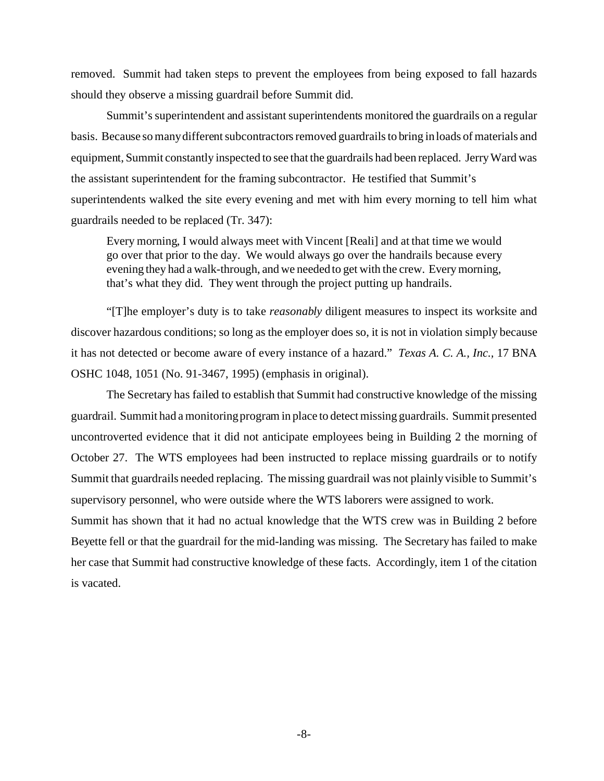removed. Summit had taken steps to prevent the employees from being exposed to fall hazards should they observe a missing guardrail before Summit did.

Summit's superintendent and assistant superintendents monitored the guardrails on a regular basis. Because so many different subcontractors removed guardrails to bring in loads of materials and equipment, Summit constantly inspected to see that the guardrails had been replaced. Jerry Ward was the assistant superintendent for the framing subcontractor. He testified that Summit's superintendents walked the site every evening and met with him every morning to tell him what guardrails needed to be replaced (Tr. 347):

Every morning, I would always meet with Vincent [Reali] and at that time we would go over that prior to the day. We would always go over the handrails because every evening they had a walk-through, and we needed to get with the crew. Every morning, that's what they did. They went through the project putting up handrails.

"[T]he employer's duty is to take *reasonably* diligent measures to inspect its worksite and discover hazardous conditions; so long as the employer does so, it is not in violation simply because it has not detected or become aware of every instance of a hazard." *Texas A. C. A., Inc.,* 17 BNA OSHC 1048, 1051 (No. 91-3467, 1995) (emphasis in original).

The Secretary has failed to establish that Summit had constructive knowledge of the missing guardrail. Summit had a monitoring program in place to detect missing guardrails. Summit presented uncontroverted evidence that it did not anticipate employees being in Building 2 the morning of October 27. The WTS employees had been instructed to replace missing guardrails or to notify Summit that guardrails needed replacing. The missing guardrail was not plainly visible to Summit's supervisory personnel, who were outside where the WTS laborers were assigned to work.

Summit has shown that it had no actual knowledge that the WTS crew was in Building 2 before Beyette fell or that the guardrail for the mid-landing was missing. The Secretary has failed to make her case that Summit had constructive knowledge of these facts. Accordingly, item 1 of the citation is vacated.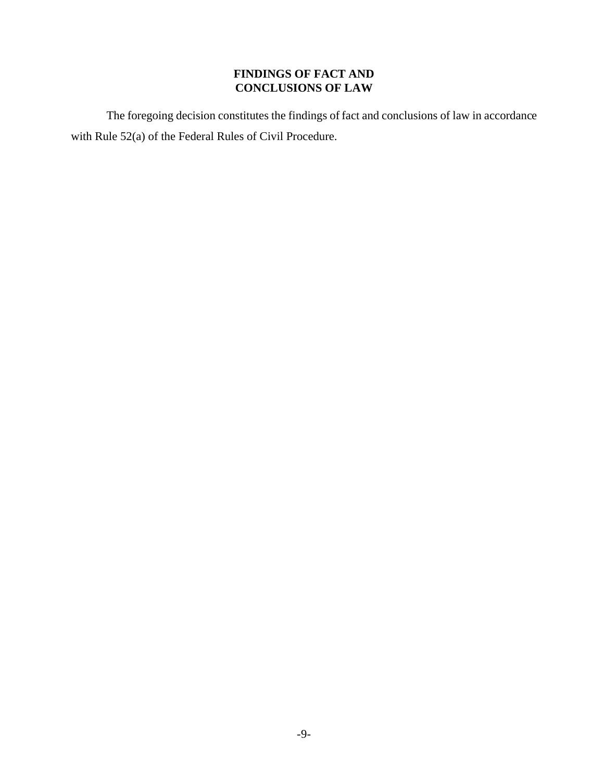# **FINDINGS OF FACT AND CONCLUSIONS OF LAW**

The foregoing decision constitutes the findings of fact and conclusions of law in accordance with Rule 52(a) of the Federal Rules of Civil Procedure.